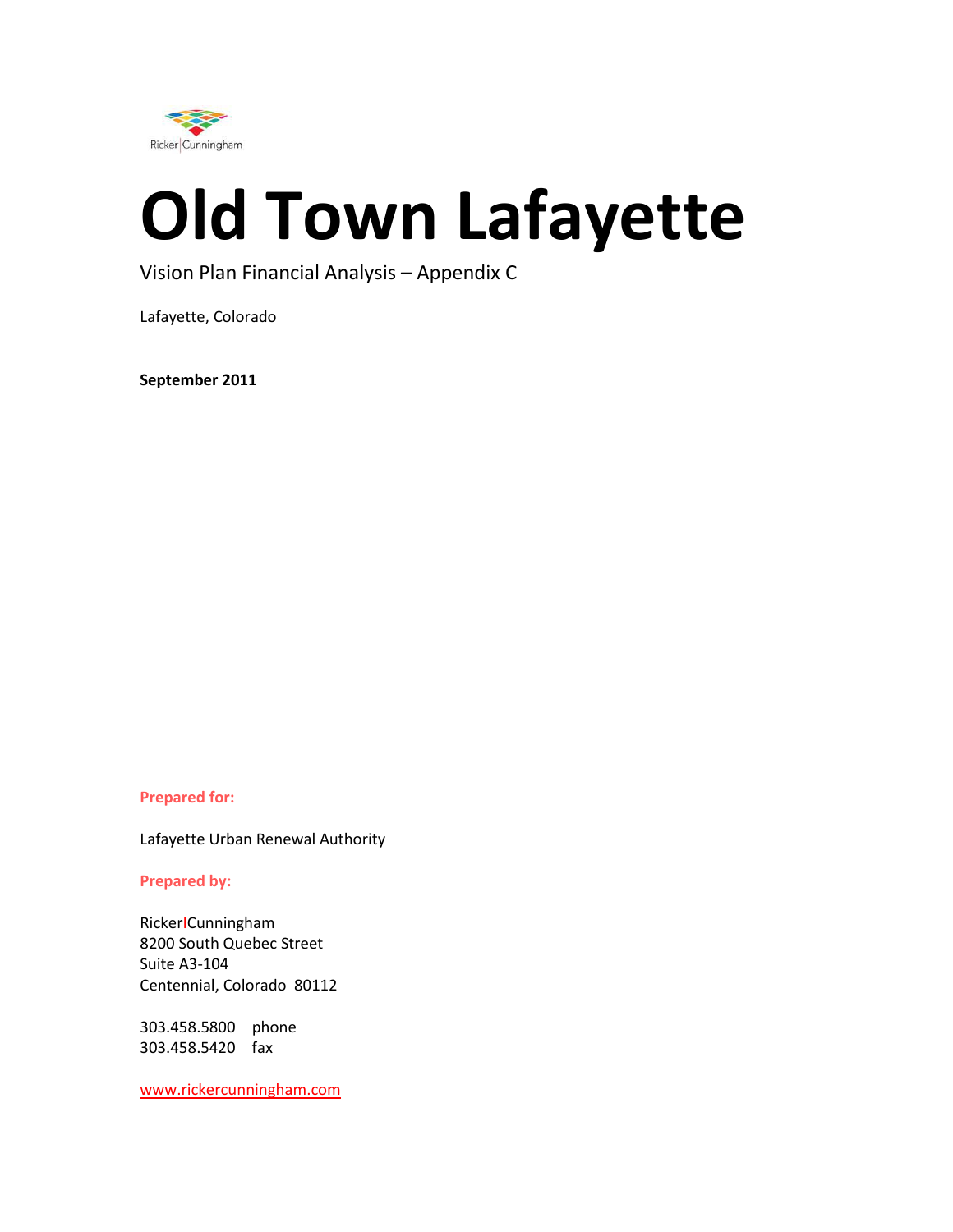

# **Old Town Lafayette**

### Vision Plan Financial Analysis – Appendix C

Lafayette, Colorado

**September 2011** 

#### **Prepared for:**

Lafayette Urban Renewal Authority

#### **Prepared by:**

RickerΙCunningham 8200 South Quebec Street Suite A3-104 Centennial, Colorado 80112

303.458.5800 phone 303.458.5420 fax

www.rickercunningham.com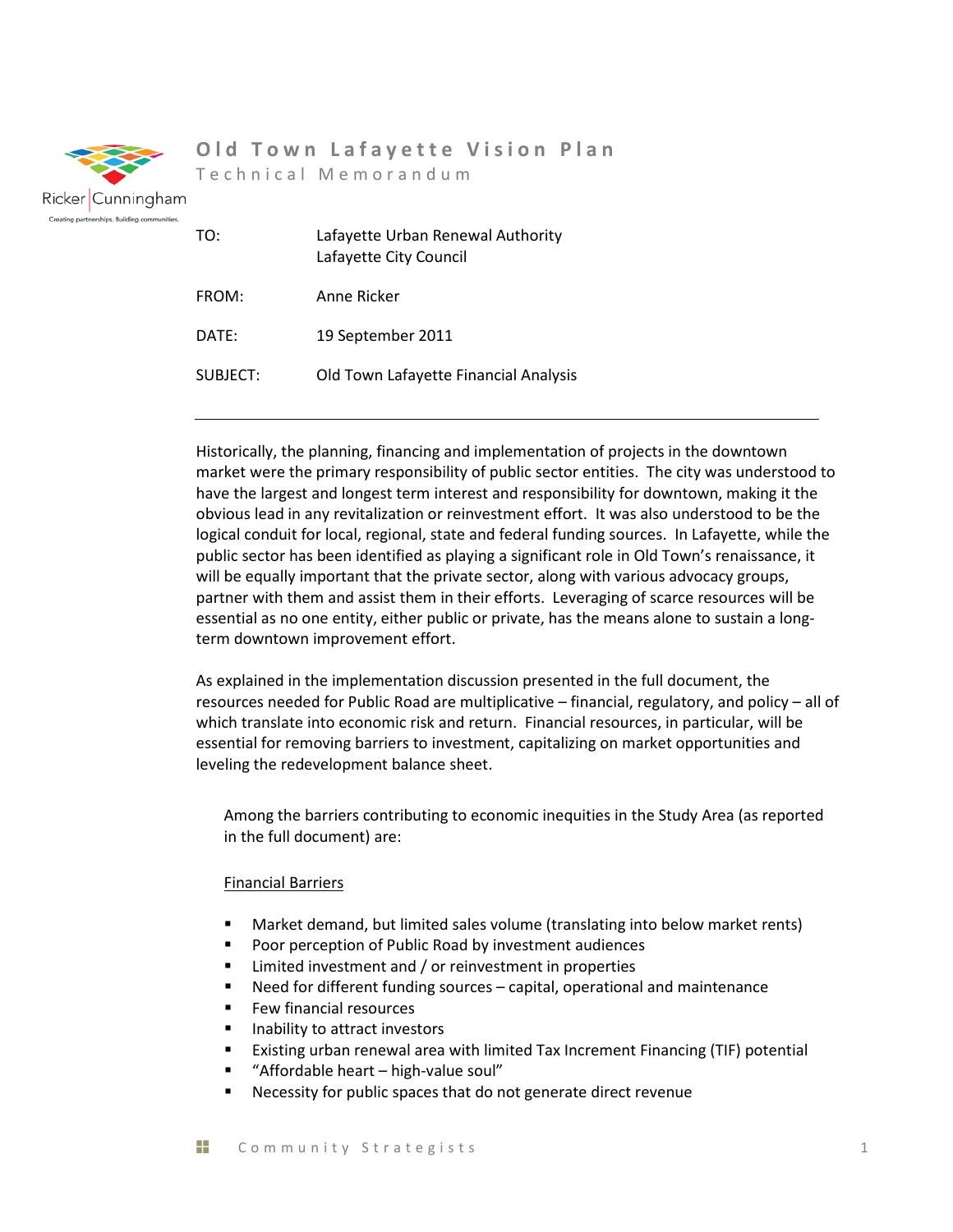

## **Old Town Lafayette Vision Plan**

Technical Memorandum

| TO:      | Lafayette Urban Renewal Authority<br>Lafayette City Council |
|----------|-------------------------------------------------------------|
| FROM:    | Anne Ricker                                                 |
| DATE:    | 19 September 2011                                           |
| SUBJECT: | Old Town Lafayette Financial Analysis                       |

Historically, the planning, financing and implementation of projects in the downtown market were the primary responsibility of public sector entities. The city was understood to have the largest and longest term interest and responsibility for downtown, making it the obvious lead in any revitalization or reinvestment effort. It was also understood to be the logical conduit for local, regional, state and federal funding sources. In Lafayette, while the public sector has been identified as playing a significant role in Old Town's renaissance, it will be equally important that the private sector, along with various advocacy groups, partner with them and assist them in their efforts. Leveraging of scarce resources will be essential as no one entity, either public or private, has the means alone to sustain a longterm downtown improvement effort.

As explained in the implementation discussion presented in the full document, the resources needed for Public Road are multiplicative – financial, regulatory, and policy – all of which translate into economic risk and return. Financial resources, in particular, will be essential for removing barriers to investment, capitalizing on market opportunities and leveling the redevelopment balance sheet.

Among the barriers contributing to economic inequities in the Study Area (as reported in the full document) are:

#### Financial Barriers

- Market demand, but limited sales volume (translating into below market rents)
- **Poor perception of Public Road by investment audiences**
- **EXECUTE:** Limited investment and / or reinvestment in properties
- Need for different funding sources capital, operational and maintenance
- **Few financial resources**
- **If** Inability to attract investors
- Existing urban renewal area with limited Tax Increment Financing (TIF) potential
- "Affordable heart high-value soul"
- Necessity for public spaces that do not generate direct revenue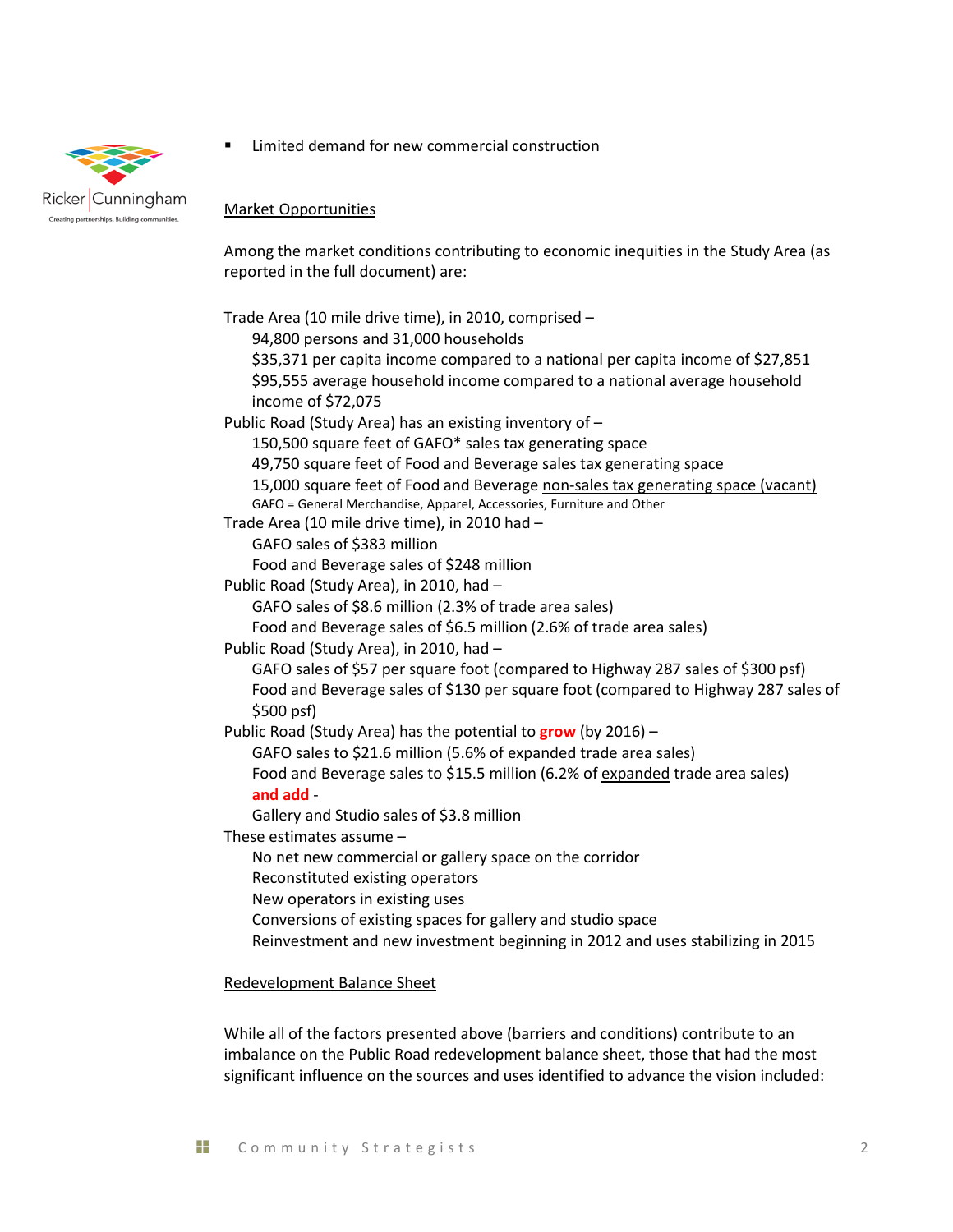

Limited demand for new commercial construction

Market Opportunities

Among the market conditions contributing to economic inequities in the Study Area (as reported in the full document) are:

Trade Area (10 mile drive time), in 2010, comprised – 94,800 persons and 31,000 households \$35,371 per capita income compared to a national per capita income of \$27,851 \$95,555 average household income compared to a national average household income of \$72,075 Public Road (Study Area) has an existing inventory of – 150,500 square feet of GAFO\* sales tax generating space 49,750 square feet of Food and Beverage sales tax generating space 15,000 square feet of Food and Beverage non-sales tax generating space (vacant) GAFO = General Merchandise, Apparel, Accessories, Furniture and Other Trade Area (10 mile drive time), in 2010 had – GAFO sales of \$383 million Food and Beverage sales of \$248 million Public Road (Study Area), in 2010, had – GAFO sales of \$8.6 million (2.3% of trade area sales) Food and Beverage sales of \$6.5 million (2.6% of trade area sales) Public Road (Study Area), in 2010, had – GAFO sales of \$57 per square foot (compared to Highway 287 sales of \$300 psf) Food and Beverage sales of \$130 per square foot (compared to Highway 287 sales of \$500 psf) Public Road (Study Area) has the potential to **grow** (by 2016) – GAFO sales to \$21.6 million (5.6% of expanded trade area sales) Food and Beverage sales to \$15.5 million (6.2% of expanded trade area sales) **and add** - Gallery and Studio sales of \$3.8 million These estimates assume – No net new commercial or gallery space on the corridor Reconstituted existing operators New operators in existing uses Conversions of existing spaces for gallery and studio space Reinvestment and new investment beginning in 2012 and uses stabilizing in 2015

Redevelopment Balance Sheet

While all of the factors presented above (barriers and conditions) contribute to an imbalance on the Public Road redevelopment balance sheet, those that had the most significant influence on the sources and uses identified to advance the vision included: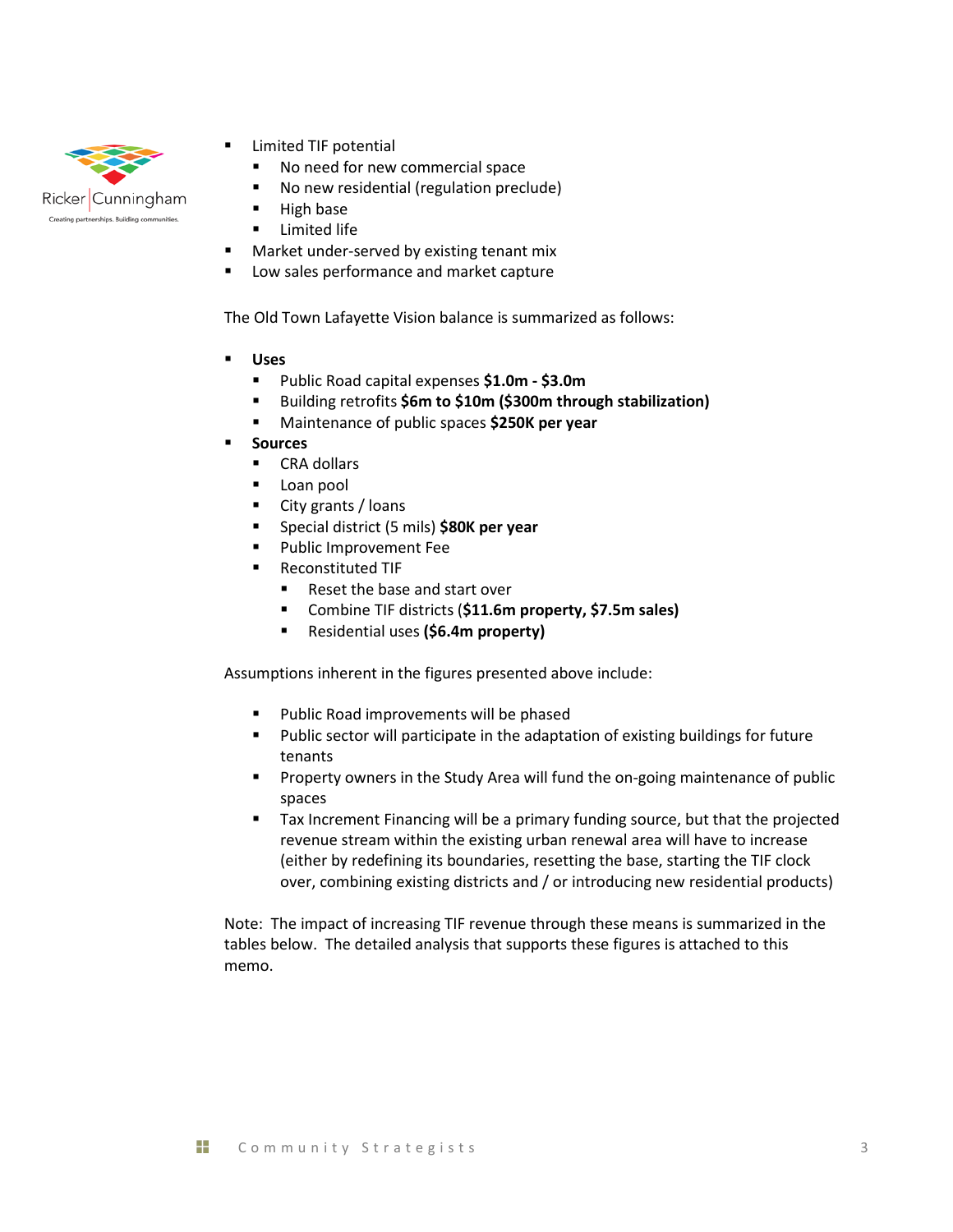

- Limited TIF potential
	- No need for new commercial space
	- **No new residential (regulation preclude)**
	- **High base**
- **Limited life**
- Market under-served by existing tenant mix
- Low sales performance and market capture

The Old Town Lafayette Vision balance is summarized as follows:

- **Uses**
	- Public Road capital expenses **\$1.0m - \$3.0m**
	- Building retrofits **\$6m to \$10m (\$300m through stabilization)**
	- Maintenance of public spaces **\$250K per year**
- **Sources** 
	- CRA dollars
	- **Loan pool**
	- **City grants / loans**
	- **Special district (5 mils) \$80K per year**
	- Public Improvement Fee
	- **Reconstituted TIF** 
		- Reset the base and start over
		- Combine TIF districts (**\$11.6m property, \$7.5m sales)**
		- Residential uses **(\$6.4m property)**

Assumptions inherent in the figures presented above include:

- Public Road improvements will be phased
- **Public sector will participate in the adaptation of existing buildings for future** tenants
- **Property owners in the Study Area will fund the on-going maintenance of public** spaces
- Tax Increment Financing will be a primary funding source, but that the projected revenue stream within the existing urban renewal area will have to increase (either by redefining its boundaries, resetting the base, starting the TIF clock over, combining existing districts and / or introducing new residential products)

Note: The impact of increasing TIF revenue through these means is summarized in the tables below. The detailed analysis that supports these figures is attached to this memo.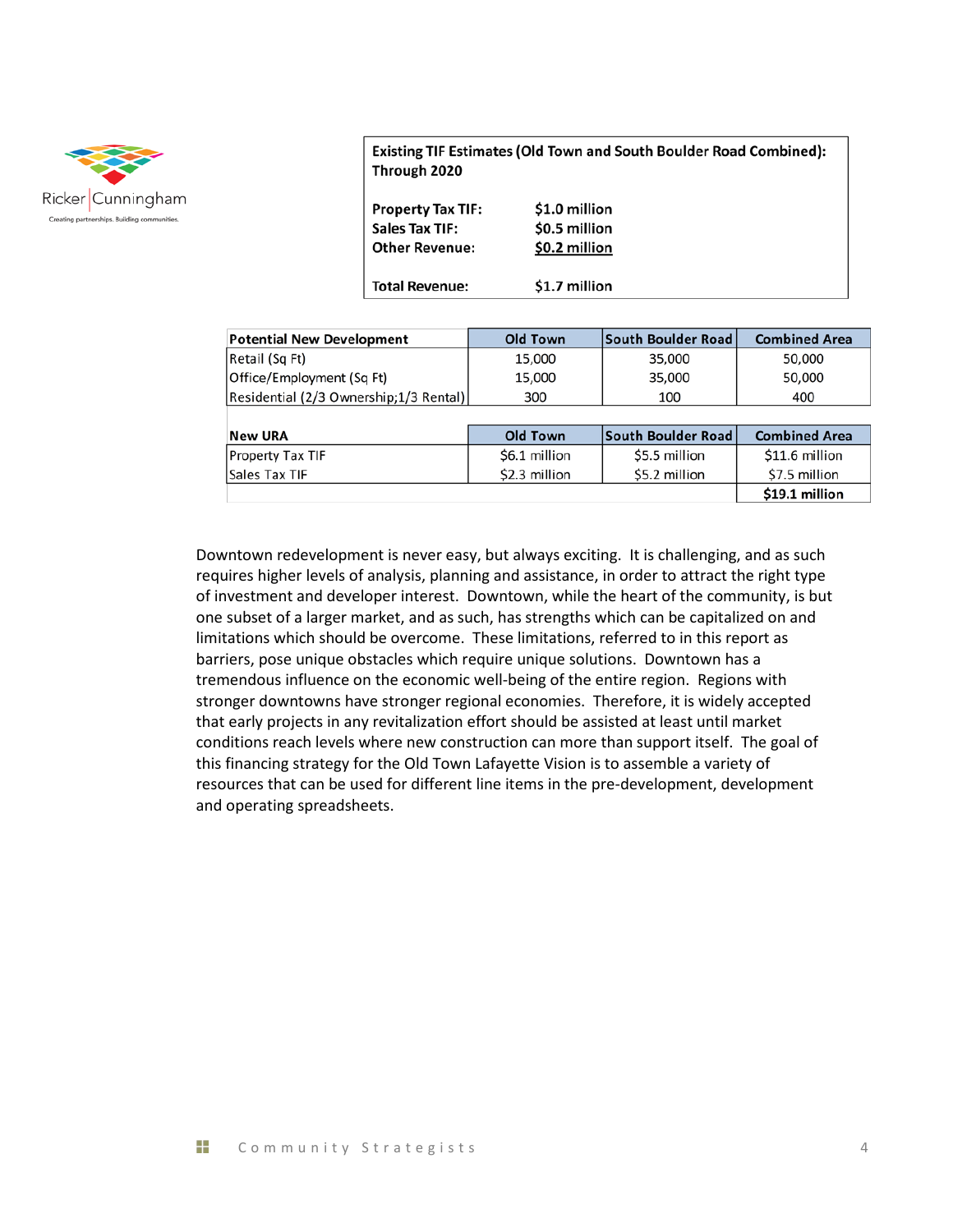

Existing TIF Estimates (Old Town and South Boulder Road Combined): Through 2020

| \$0.5 million<br>Sales Tax TIF:<br>\$0.2 million<br><b>Other Revenue:</b> |                          |               |
|---------------------------------------------------------------------------|--------------------------|---------------|
|                                                                           | <b>Property Tax TIF:</b> | \$1.0 million |
|                                                                           |                          |               |

| <b>Potential New Development</b>        | Old Town | South Boulder Road | <b>Combined Area</b> |
|-----------------------------------------|----------|--------------------|----------------------|
| Retail (Sq Ft)                          | 15,000   | 35,000             | 50,000               |
| Office/Employment (Sq Ft)               | 15,000   | 35,000             | 50,000               |
| Residential (2/3 Ownership; 1/3 Rental) | 300      | 100                | 400                  |
|                                         |          |                    |                      |

| <b>New URA</b>          | Old Town      | South Boulder Road | <b>Combined Area</b> |
|-------------------------|---------------|--------------------|----------------------|
| <b>Property Tax TIF</b> | \$6.1 million | S5.5 million       | \$11.6 million       |
| Sales Tax TIF           | \$2.3 million | \$5.2 million      | \$7.5 million        |
|                         |               |                    | \$19.1 million       |

Downtown redevelopment is never easy, but always exciting. It is challenging, and as such requires higher levels of analysis, planning and assistance, in order to attract the right type of investment and developer interest. Downtown, while the heart of the community, is but one subset of a larger market, and as such, has strengths which can be capitalized on and limitations which should be overcome. These limitations, referred to in this report as barriers, pose unique obstacles which require unique solutions. Downtown has a tremendous influence on the economic well-being of the entire region. Regions with stronger downtowns have stronger regional economies. Therefore, it is widely accepted that early projects in any revitalization effort should be assisted at least until market conditions reach levels where new construction can more than support itself. The goal of this financing strategy for the Old Town Lafayette Vision is to assemble a variety of resources that can be used for different line items in the pre-development, development and operating spreadsheets.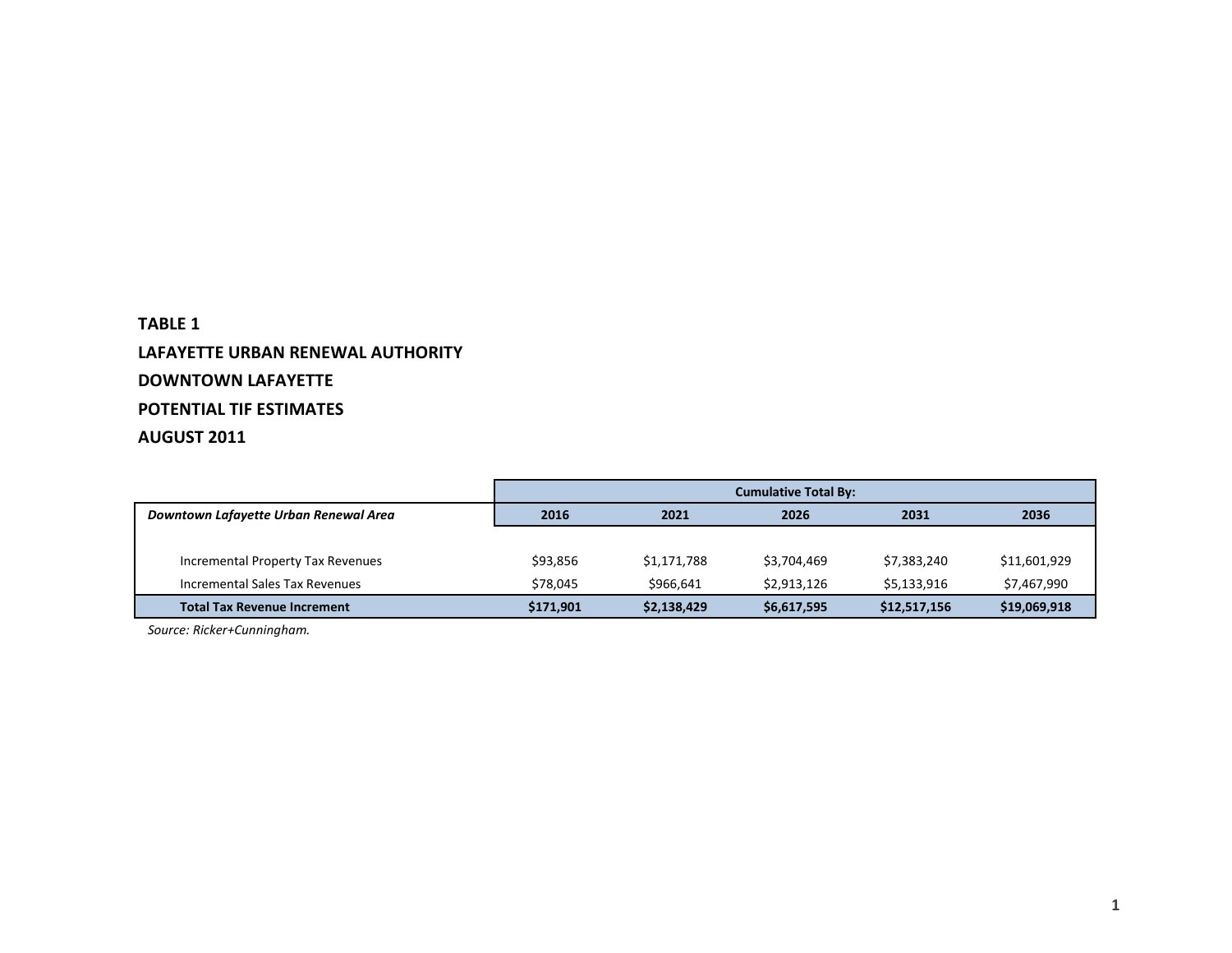## **TABLE 1 LAFAYETTE URBAN RENEWAL AUTHORITY DOWNTOWN LAFAYETTE POTENTIAL TIF ESTIMATES AUGUST 2011**

|                                       | <b>Cumulative Total By:</b> |             |             |              |              |  |  |  |  |
|---------------------------------------|-----------------------------|-------------|-------------|--------------|--------------|--|--|--|--|
| Downtown Lafayette Urban Renewal Area | 2016                        | 2021        | 2026        | 2031         | 2036         |  |  |  |  |
|                                       |                             |             |             |              |              |  |  |  |  |
| Incremental Property Tax Revenues     | \$93,856                    | \$1,171,788 | \$3,704,469 | \$7,383,240  | \$11,601,929 |  |  |  |  |
| Incremental Sales Tax Revenues        | \$78.045                    | \$966,641   | \$2,913,126 | \$5,133,916  | \$7,467,990  |  |  |  |  |
| <b>Total Tax Revenue Increment</b>    | \$171,901                   | \$2,138,429 | \$6,617,595 | \$12,517,156 | \$19,069,918 |  |  |  |  |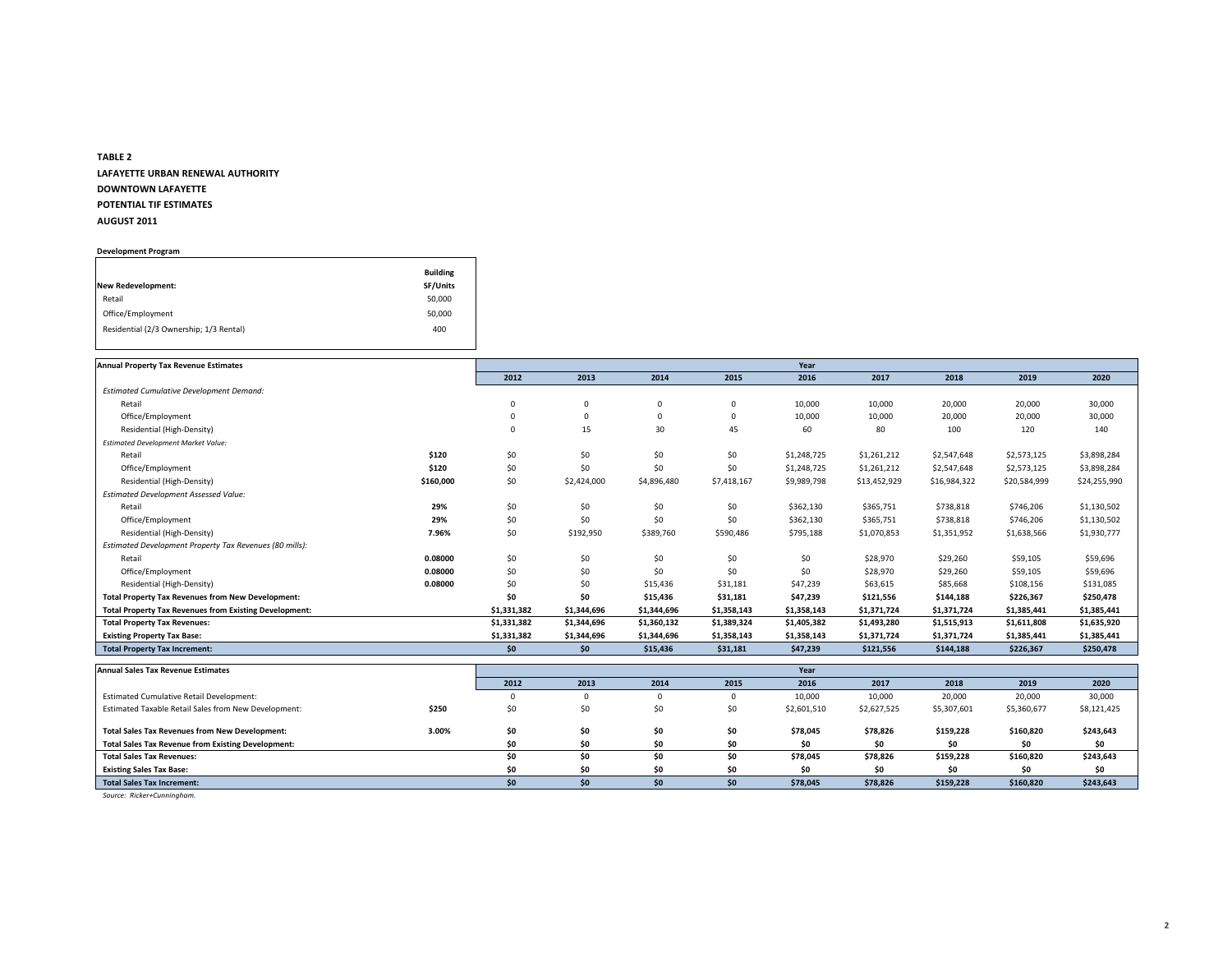# **TABLE 2 LAFAYETTE URBAN RENEWAL AUTHORITY DOWNTOWN LAFAYETTE POTENTIAL TIF ESTIMATES AUGUST 2011**

#### **Development Program**

|                                         | <b>Building</b> |
|-----------------------------------------|-----------------|
| New Redevelopment:                      | SF/Units        |
| Retail                                  | 50,000          |
| Office/Employment                       | 50,000          |
| Residential (2/3 Ownership; 1/3 Rental) | 400             |

| <b>Annual Property Tax Revenue Estimates</b>                  |           |             |             |              |             | Year        |              |              |              |              |
|---------------------------------------------------------------|-----------|-------------|-------------|--------------|-------------|-------------|--------------|--------------|--------------|--------------|
|                                                               |           | 2012        | 2013        | 2014         | 2015        | 2016        | 2017         | 2018         | 2019         | 2020         |
| <b>Estimated Cumulative Development Demand:</b>               |           |             |             |              |             |             |              |              |              |              |
| Retail                                                        |           | 0           | $\Omega$    | $\mathbf 0$  | 0           | 10,000      | 10,000       | 20,000       | 20,000       | 30,000       |
| Office/Employment                                             |           | $\mathbf 0$ |             | $\mathbf 0$  | 0           | 10,000      | 10,000       | 20,000       | 20,000       | 30,000       |
| Residential (High-Density)                                    |           | $\mathbf 0$ | 15          | 30           | 45          | 60          | 80           | 100          | 120          | 140          |
| <b>Estimated Development Market Value:</b>                    |           |             |             |              |             |             |              |              |              |              |
| Retail                                                        | \$120     | \$0         | \$0         | \$0          | \$0         | \$1,248,725 | \$1,261,212  | \$2,547,648  | \$2,573,125  | \$3,898,284  |
| Office/Employment                                             | \$120     | \$0         | \$0         | \$0          | \$0         | \$1,248,725 | \$1,261,212  | \$2,547,648  | \$2,573,125  | \$3,898,284  |
| Residential (High-Density)                                    | \$160,000 | \$0         | \$2,424,000 | \$4,896,480  | \$7,418,167 | \$9,989,798 | \$13,452,929 | \$16,984,322 | \$20,584,999 | \$24,255,990 |
| <b>Estimated Development Assessed Value:</b>                  |           |             |             |              |             |             |              |              |              |              |
| Retail                                                        | 29%       | \$0         | \$0         | \$0          | \$0         | \$362,130   | \$365,751    | \$738,818    | \$746,206    | \$1,130,502  |
| Office/Employment                                             | 29%       | \$0         | \$0         | \$0          | \$0         | \$362,130   | \$365,751    | \$738,818    | \$746,206    | \$1,130,502  |
| Residential (High-Density)                                    | 7.96%     | \$0         | \$192,950   | \$389,760    | \$590,486   | \$795,188   | \$1,070,853  | \$1,351,952  | \$1,638,566  | \$1,930,777  |
| Estimated Development Property Tax Revenues (80 mills):       |           |             |             |              |             |             |              |              |              |              |
| Retail                                                        | 0.08000   | \$0         | \$0         | \$0          | \$0         | \$0         | \$28,970     | \$29,260     | \$59,105     | \$59,696     |
| Office/Employment                                             | 0.08000   | \$0         | \$0         | \$0          | \$0         | \$0         | \$28,970     | \$29,260     | \$59,105     | \$59,696     |
| Residential (High-Density)                                    | 0.08000   | \$0         | \$0         | \$15,436     | \$31,181    | \$47,239    | \$63,615     | \$85,668     | \$108,156    | \$131,085    |
| <b>Total Property Tax Revenues from New Development:</b>      |           | \$0         | \$0         | \$15,436     | \$31,181    | \$47,239    | \$121,556    | \$144,188    | \$226,367    | \$250,478    |
| <b>Total Property Tax Revenues from Existing Development:</b> |           | \$1,331,382 | \$1,344,696 | \$1,344,696  | \$1,358,143 | \$1,358,143 | \$1,371,724  | \$1,371,724  | \$1,385,441  | \$1,385,441  |
| <b>Total Property Tax Revenues:</b>                           |           | \$1,331,382 | \$1,344,696 | \$1,360,132  | \$1,389,324 | \$1,405,382 | \$1,493,280  | \$1,515,913  | \$1,611,808  | \$1,635,920  |
| <b>Existing Property Tax Base:</b>                            |           | \$1,331,382 | \$1,344,696 | \$1,344,696  | \$1,358,143 | \$1,358,143 | \$1,371,724  | \$1,371,724  | \$1,385,441  | \$1,385,441  |
| <b>Total Property Tax Increment:</b>                          |           | \$0\$       | \$0\$       | \$15,436     | \$31,181    | \$47,239    | \$121,556    | \$144,188    | \$226,367    | \$250,478    |
| <b>Annual Sales Tax Revenue Estimates</b>                     |           |             |             |              |             | Year        |              |              |              |              |
|                                                               |           | 2012        | 2013        | 2014         | 2015        | 2016        | 2017         | 2018         | 2019         | 2020         |
| <b>Estimated Cumulative Retail Development:</b>               |           | $\Omega$    | $\Omega$    | $\mathbf{0}$ | $\Omega$    | 10,000      | 10,000       | 20,000       | 20,000       | 30,000       |
| <b>Estimated Taxable Retail Sales from New Development:</b>   | \$250     | \$በ         | \$በ         | \$በ          | . \$በ       | \$2601510   | \$262752     | \$5 307 601  | \$5 360 677  | \$8 121 425  |

|                                                             |       | ZUIZ | <b>ZU13</b> | <b>ZU14</b> | ZUIS | <b>ZUID</b> | ZUI <i>i</i> | ZUI 5       | <b>ZUIJ</b> | ZUZU        |
|-------------------------------------------------------------|-------|------|-------------|-------------|------|-------------|--------------|-------------|-------------|-------------|
| <b>Estimated Cumulative Retail Development:</b>             |       |      |             |             |      | 10,000      | 10,000       | 20,000      | 20,000      | 30,000      |
| <b>Estimated Taxable Retail Sales from New Development:</b> | \$250 |      |             | \$0         | \$0  | \$2,601,510 | \$2,627,525  | \$5,307,601 | \$5,360,677 | \$8,121,425 |
| <b>Total Sales Tax Revenues from New Development:</b>       | 3.00% | ¢∩   |             | \$0         | \$0  | \$78,045    | \$78,826     | \$159,228   | \$160,820   | \$243,643   |
| <b>Total Sales Tax Revenue from Existing Development:</b>   |       |      |             | \$0         | SO.  |             | \$0          |             |             | \$0         |
| <b>Total Sales Tax Revenues:</b>                            |       |      |             | \$0         | \$0  | \$78,045    | \$78,826     | \$159,228   | \$160,820   | \$243,643   |
| <b>Existing Sales Tax Base:</b>                             |       |      |             | \$0         | SO.  |             | S0           |             |             | \$0         |
| <b>Total Sales Tax Increment:</b>                           |       |      |             | <b>SO</b>   | SN.  | \$78,045    | \$78,826     | \$159,228   | \$160,820   | \$243,643   |
|                                                             |       |      |             |             |      |             |              |             |             |             |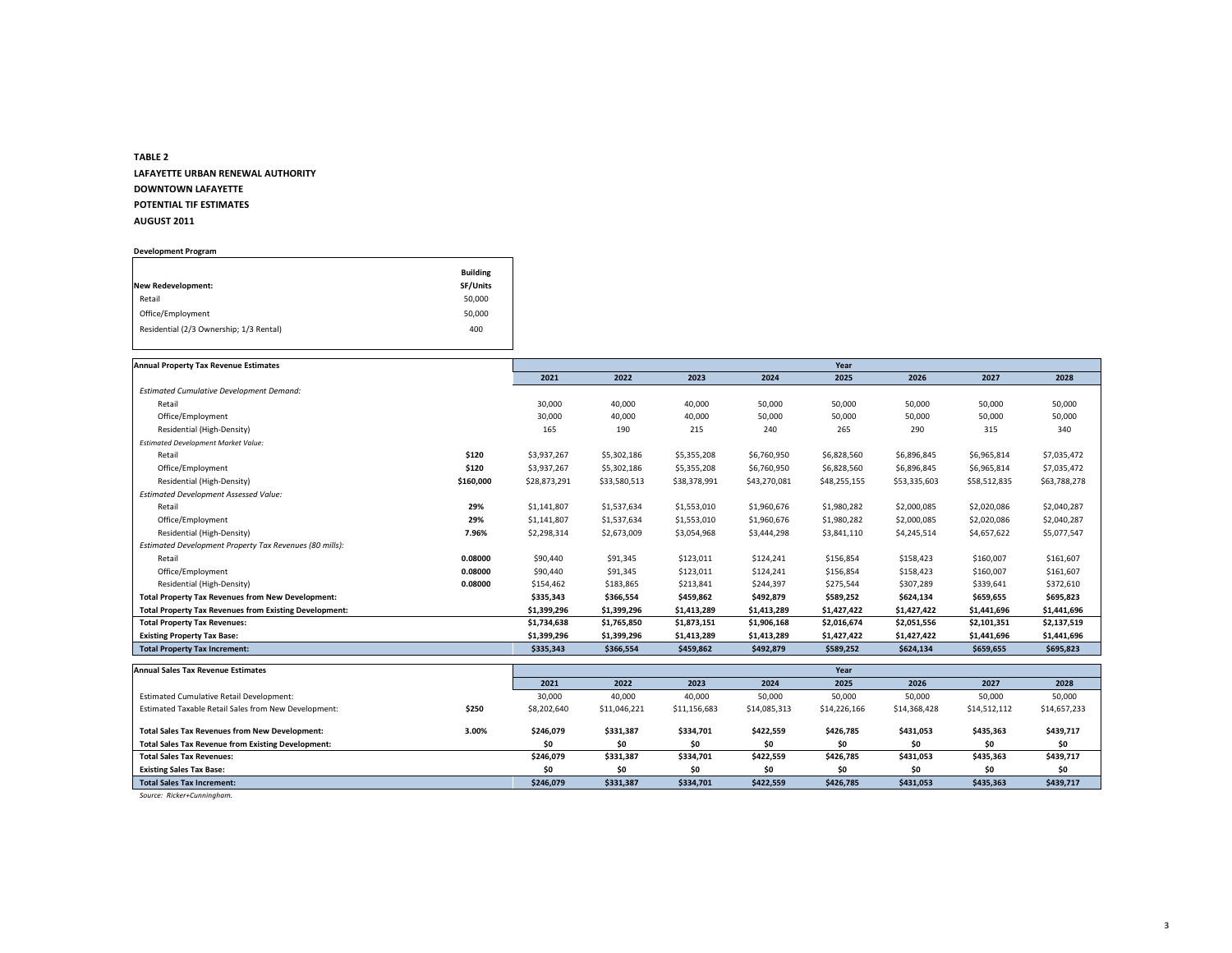# **TABLE 2 LAFAYETTE URBAN RENEWAL AUTHORITY DOWNTOWN LAFAYETTE POTENTIAL TIF ESTIMATES AUGUST 2011**

**Development Program**

|                                         | <b>Building</b> |
|-----------------------------------------|-----------------|
| <b>New Redevelopment:</b>               | SF/Units        |
| Retail                                  | 50,000          |
| Office/Employment                       | 50,000          |
| Residential (2/3 Ownership; 1/3 Rental) | 400             |

| <b>Annual Property Tax Revenue Estimates</b>                   |              |              |              |              | Year         |              |              |              |
|----------------------------------------------------------------|--------------|--------------|--------------|--------------|--------------|--------------|--------------|--------------|
|                                                                | 2021         | 2022         | 2023         | 2024         | 2025         | 2026         | 2027         | 2028         |
| <b>Estimated Cumulative Development Demand:</b>                |              |              |              |              |              |              |              |              |
| Retail                                                         | 30,000       | 40,000       | 40,000       | 50,000       | 50,000       | 50,000       | 50,000       | 50,000       |
| Office/Employment                                              | 30,000       | 40,000       | 40,000       | 50,000       | 50,000       | 50,000       | 50,000       | 50,000       |
| Residential (High-Density)                                     | 165          | 190          | 215          | 240          | 265          | 290          | 315          | 340          |
| <b>Estimated Development Market Value:</b>                     |              |              |              |              |              |              |              |              |
| \$120<br>Retail                                                | \$3,937,267  | \$5,302,186  | \$5,355,208  | \$6,760,950  | \$6,828,560  | \$6,896,845  | \$6,965,814  | \$7,035,472  |
| \$120<br>Office/Employment                                     | \$3,937,267  | \$5,302,186  | \$5,355,208  | \$6,760,950  | \$6,828,560  | \$6,896,845  | \$6,965,814  | \$7,035,472  |
| Residential (High-Density)<br>\$160,000                        | \$28,873,291 | \$33,580,513 | \$38,378,991 | \$43,270,081 | \$48,255,155 | \$53,335,603 | \$58,512,835 | \$63,788,278 |
| Estimated Development Assessed Value:                          |              |              |              |              |              |              |              |              |
| 29%<br>Retail                                                  | \$1,141,807  | \$1,537,634  | \$1,553,010  | \$1,960,676  | \$1,980,282  | \$2,000,085  | \$2,020,086  | \$2,040,287  |
| Office/Employment<br>29%                                       | \$1,141,807  | \$1,537,634  | \$1,553,010  | \$1,960,676  | \$1,980,282  | \$2,000,085  | \$2,020,086  | \$2,040,287  |
| Residential (High-Density)<br>7.96%                            | \$2,298,314  | \$2,673,009  | \$3,054,968  | \$3,444,298  | \$3,841,110  | \$4,245,514  | \$4,657,622  | \$5,077,547  |
| Estimated Development Property Tax Revenues (80 mills):        |              |              |              |              |              |              |              |              |
| Retail<br>0.08000                                              | \$90,440     | \$91,345     | \$123,011    | \$124,241    | \$156,854    | \$158,423    | \$160,007    | \$161,607    |
| Office/Employment<br>0.08000                                   | \$90,440     | \$91,345     | \$123,011    | \$124,241    | \$156,854    | \$158,423    | \$160,007    | \$161,607    |
| Residential (High-Density)<br>0.08000                          | \$154,462    | \$183,865    | \$213,841    | \$244,397    | \$275,544    | \$307,289    | \$339,641    | \$372,610    |
| <b>Total Property Tax Revenues from New Development:</b>       | \$335,343    | \$366,554    | \$459,862    | \$492,879    | \$589,252    | \$624,134    | \$659,655    | \$695,823    |
| <b>Total Property Tax Revenues from Existing Development:</b>  | \$1,399,296  | \$1,399,296  | \$1,413,289  | \$1,413,289  | \$1,427,422  | \$1,427,422  | \$1,441,696  | \$1,441,696  |
| <b>Total Property Tax Revenues:</b>                            | \$1,734,638  | \$1,765,850  | \$1,873,151  | \$1,906,168  | \$2,016,674  | \$2,051,556  | \$2,101,351  | \$2,137,519  |
| <b>Existing Property Tax Base:</b>                             | \$1,399,296  | \$1,399,296  | \$1,413,289  | \$1,413,289  | \$1,427,422  | \$1,427,422  | \$1,441,696  | \$1,441,696  |
| <b>Total Property Tax Increment:</b>                           | \$335,343    | \$366,554    | \$459,862    | \$492,879    | \$589,252    | \$624,134    | \$659,655    | \$695,823    |
| <b>Annual Sales Tax Revenue Estimates</b>                      |              |              |              |              | Year         |              |              |              |
|                                                                | 2021         | 2022         | 2023         | 2024         | 2025         | 2026         | 2027         | 2028         |
| <b>Estimated Cumulative Retail Development:</b>                | 30,000       | 40,000       | 40,000       | 50,000       | 50,000       | 50,000       | 50,000       | 50,000       |
| Estimated Taxable Retail Sales from New Development:<br>\$250  | \$8,202,640  | \$11,046,221 | \$11,156,683 | \$14,085,313 | \$14,226,166 | \$14,368,428 | \$14,512,112 | \$14,657,233 |
| <b>Total Sales Tax Revenues from New Development:</b><br>3.00% | \$246,079    | \$331,387    | \$334,701    | \$422,559    | \$426,785    | \$431,053    | \$435,363    | \$439,717    |
| <b>Total Sales Tax Revenue from Existing Development:</b>      | \$0          | \$0          | \$0          | \$0          | \$0          | \$0          | \$0          | \$0          |
| <b>Total Sales Tax Revenues:</b>                               | \$246,079    | \$331,387    | \$334,701    | \$422,559    | \$426,785    | \$431,053    | \$435,363    | \$439,717    |
| <b>Existing Sales Tax Base:</b>                                | \$0          | \$0          | \$0          | \$0          | \$0          | \$0          | \$0          | \$0          |
| <b>Total Sales Tax Increment:</b>                              | \$246,079    | \$331,387    | \$334,701    | \$422,559    | \$426,785    | \$431,053    | \$435,363    | \$439,717    |